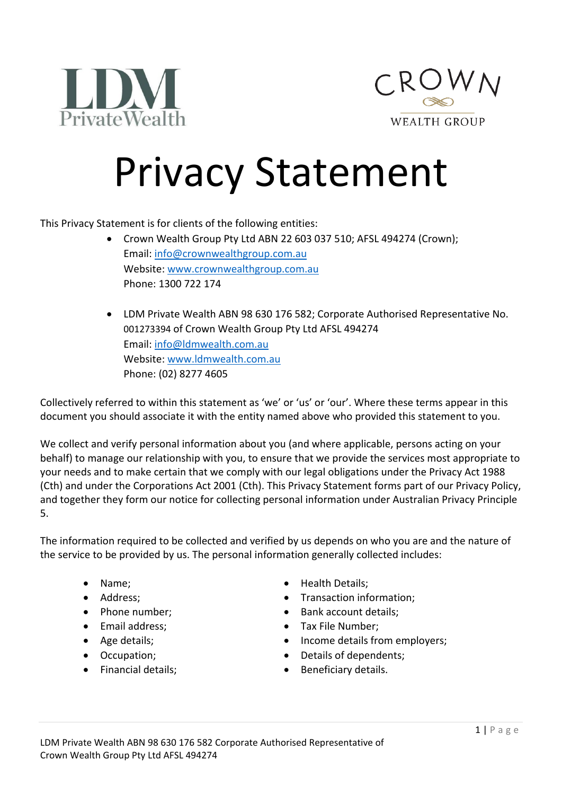



## Privacy Statement

This Privacy Statement is for clients of the following entities:

- Crown Wealth Group Pty Ltd ABN 22 603 037 510; AFSL 494274 (Crown); Email[: info@crownwealthgroup.com.au](mailto:info@crownwealthgroup.com.au) Website: [www.crownwealthgroup.com.au](http://www.crownwealthgroup.com.au/) Phone: 1300 722 174
- LDM Private Wealth ABN 98 630 176 582; Corporate Authorised Representative No. 001273394 of Crown Wealth Group Pty Ltd AFSL 494274 Email[: info@ldmwealth.com.au](mailto:info@ldmwealth.com.au) Website: [www.ldmwealth.com.au](http://www.ldmwealth.com.au/) Phone: (02) 8277 4605

Collectively referred to within this statement as 'we' or 'us' or 'our'. Where these terms appear in this document you should associate it with the entity named above who provided this statement to you.

We collect and verify personal information about you (and where applicable, persons acting on your behalf) to manage our relationship with you, to ensure that we provide the services most appropriate to your needs and to make certain that we comply with our legal obligations under the Privacy Act 1988 (Cth) and under the Corporations Act 2001 (Cth). This Privacy Statement forms part of our Privacy Policy, and together they form our notice for collecting personal information under Australian Privacy Principle 5.

The information required to be collected and verified by us depends on who you are and the nature of the service to be provided by us. The personal information generally collected includes:

- 
- 
- 
- 
- 
- 
- 
- Name; Health Details;
- Address; Transaction information;
- Phone number; Bank account details;
- Email address; Tax File Number;
- Age details;  $\bullet$  Income details from employers;
- Occupation; **•** Details of dependents;
- Financial details; Beneficiary details.